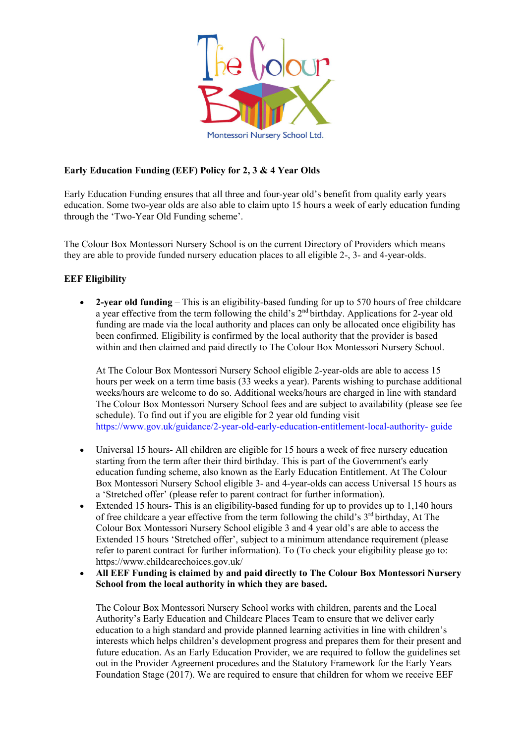

# **Early Education Funding (EEF) Policy for 2, 3 & 4 Year Olds**

Early Education Funding ensures that all three and four-year old's benefit from quality early years education. Some two-year olds are also able to claim upto 15 hours a week of early education funding through the 'Two-Year Old Funding scheme'.

The Colour Box Montessori Nursery School is on the current Directory of Providers which means they are able to provide funded nursery education places to all eligible 2-, 3- and 4-year-olds.

## **EEF Eligibility**

• **2-year old funding** – This is an eligibility-based funding for up to 570 hours of free childcare a year effective from the term following the child's 2<sup>nd</sup> birthday. Applications for 2-year old funding are made via the local authority and places can only be allocated once eligibility has been confirmed. Eligibility is confirmed by the local authority that the provider is based within and then claimed and paid directly to The Colour Box Montessori Nursery School.

At The Colour Box Montessori Nursery School eligible 2-year-olds are able to access 15 hours per week on a term time basis (33 weeks a year). Parents wishing to purchase additional weeks/hours are welcome to do so. Additional weeks/hours are charged in line with standard The Colour Box Montessori Nursery School fees and are subject to availability (please see fee schedule). To find out if you are eligible for 2 year old funding visit https://www.gov.uk/guidance/2-year-old-early-education-entitlement-local-authority- guide

- Universal 15 hours- All children are eligible for 15 hours a week of free nursery education starting from the term after their third birthday. This is part of the Government's early education funding scheme, also known as the Early Education Entitlement. At The Colour Box Montessori Nursery School eligible 3- and 4-year-olds can access Universal 15 hours as a 'Stretched offer' (please refer to parent contract for further information).
- Extended 15 hours- This is an eligibility-based funding for up to provides up to 1,140 hours of free childcare a year effective from the term following the child's 3rd birthday, At The Colour Box Montessori Nursery School eligible 3 and 4 year old's are able to access the Extended 15 hours 'Stretched offer', subject to a minimum attendance requirement (please refer to parent contract for further information). To (To check your eligibility please go to: https://www.childcarechoices.gov.uk/
- **All EEF Funding is claimed by and paid directly to The Colour Box Montessori Nursery School from the local authority in which they are based.**

The Colour Box Montessori Nursery School works with children, parents and the Local Authority's Early Education and Childcare Places Team to ensure that we deliver early education to a high standard and provide planned learning activities in line with children's interests which helps children's development progress and prepares them for their present and future education. As an Early Education Provider, we are required to follow the guidelines set out in the Provider Agreement procedures and the Statutory Framework for the Early Years Foundation Stage (2017). We are required to ensure that children for whom we receive EEF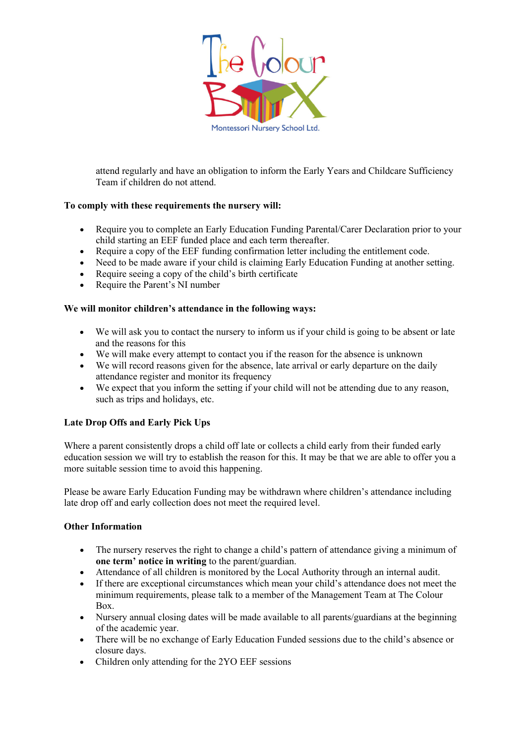

attend regularly and have an obligation to inform the Early Years and Childcare Sufficiency Team if children do not attend.

# **To comply with these requirements the nursery will:**

- Require you to complete an Early Education Funding Parental/Carer Declaration prior to your child starting an EEF funded place and each term thereafter.
- Require a copy of the EEF funding confirmation letter including the entitlement code.
- Need to be made aware if your child is claiming Early Education Funding at another setting.
- Require seeing a copy of the child's birth certificate
- Require the Parent's NI number

## **We will monitor children's attendance in the following ways:**

- We will ask you to contact the nursery to inform us if your child is going to be absent or late and the reasons for this
- We will make every attempt to contact you if the reason for the absence is unknown
- We will record reasons given for the absence, late arrival or early departure on the daily attendance register and monitor its frequency
- We expect that you inform the setting if your child will not be attending due to any reason, such as trips and holidays, etc.

## **Late Drop Offs and Early Pick Ups**

Where a parent consistently drops a child off late or collects a child early from their funded early education session we will try to establish the reason for this. It may be that we are able to offer you a more suitable session time to avoid this happening.

Please be aware Early Education Funding may be withdrawn where children's attendance including late drop off and early collection does not meet the required level.

## **Other Information**

- The nursery reserves the right to change a child's pattern of attendance giving a minimum of **one term' notice in writing** to the parent/guardian.
- Attendance of all children is monitored by the Local Authority through an internal audit.
- If there are exceptional circumstances which mean your child's attendance does not meet the minimum requirements, please talk to a member of the Management Team at The Colour Box.
- Nursery annual closing dates will be made available to all parents/guardians at the beginning of the academic year.
- There will be no exchange of Early Education Funded sessions due to the child's absence or closure days.
- Children only attending for the 2YO EEF sessions